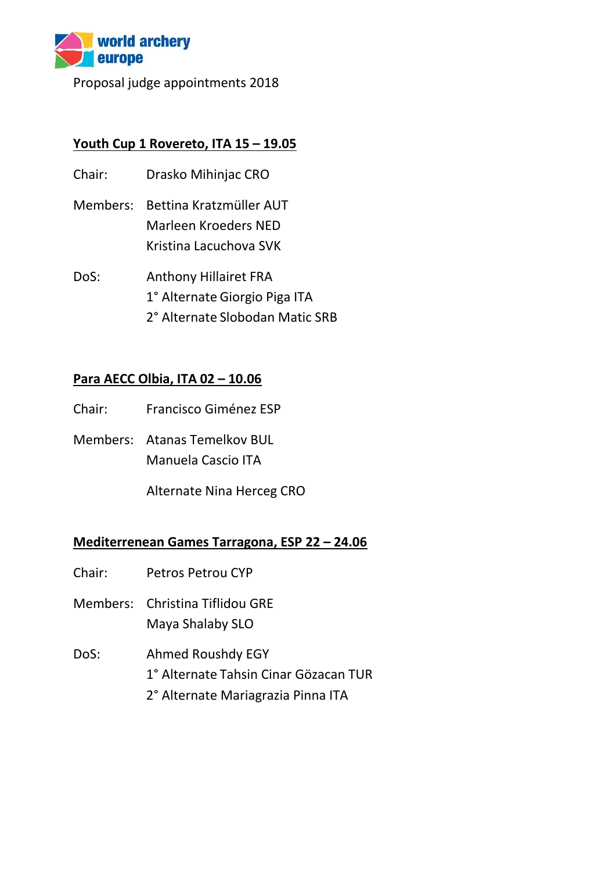

Proposal judge appointments 2018

# **Youth Cup 1 Rovereto, ITA 15 – 19.05**

- Chair: Drasko Mihinjac CRO
- Members: Bettina Kratzmüller AUT Marleen Kroeders NED Kristina Lacuchova SVK
- DoS: Anthony Hillairet FRA 1° Alternate Giorgio Piga ITA 2° Alternate Slobodan Matic SRB

## **Para AECC Olbia, ITA 02 – 10.06**

- Chair: Francisco Giménez ESP
- Members: Atanas Temelkov BUL Manuela Cascio ITA

Alternate Nina Herceg CRO

#### **Mediterrenean Games Tarragona, ESP 22 – 24.06**

- Chair: Petros Petrou CYP
- Members: Christina Tiflidou GRE Maya Shalaby SLO
- DoS: Ahmed Roushdy EGY 1° Alternate Tahsin Cinar Gözacan TUR 2° Alternate Mariagrazia Pinna ITA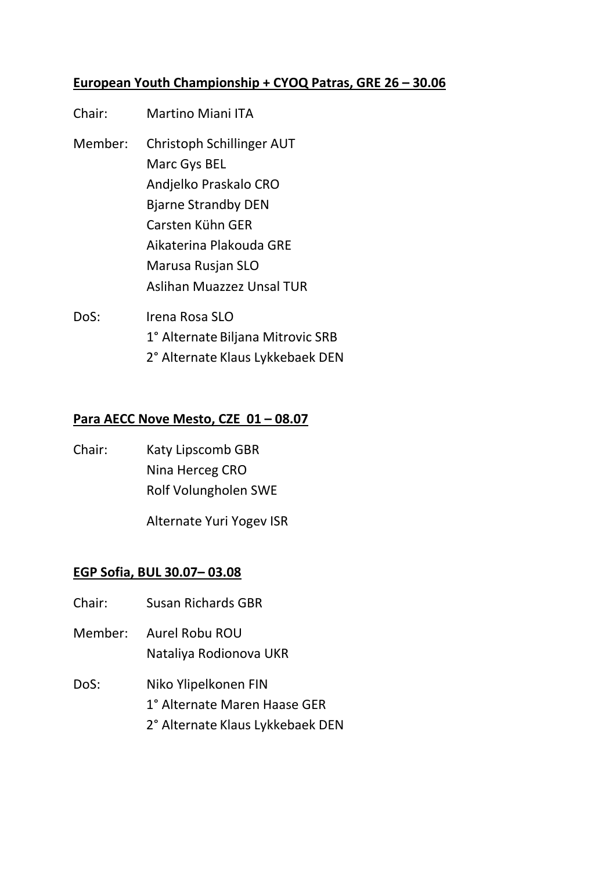# **European Youth Championship + CYOQ Patras, GRE 26 – 30.06**

| Chair:  | <b>Martino Miani ITA</b>          |
|---------|-----------------------------------|
| Member: | Christoph Schillinger AUT         |
|         | Marc Gys BEL                      |
|         | Andjelko Praskalo CRO             |
|         | <b>Bjarne Strandby DEN</b>        |
|         | Carsten Kühn GER                  |
|         | Aikaterina Plakouda GRE           |
|         | Marusa Rusjan SLO                 |
|         | Aslihan Muazzez Unsal TUR         |
| DoS:    | Irena Rosa SLO                    |
|         | 1° Alternate Biljana Mitrovic SRB |

2° Alternate Klaus Lykkebaek DEN

#### **Para AECC Nove Mesto, CZE 01 – 08.07**

Chair: Katy Lipscomb GBR Nina Herceg CRO Rolf Volungholen SWE

Alternate Yuri Yogev ISR

#### **EGP Sofia, BUL 30.07– 03.08**

- Chair: Susan Richards GBR
- Member: Aurel Robu ROU Nataliya Rodionova UKR
- DoS: Niko Ylipelkonen FIN
	- 1° Alternate Maren Haase GER
	- 2° Alternate Klaus Lykkebaek DEN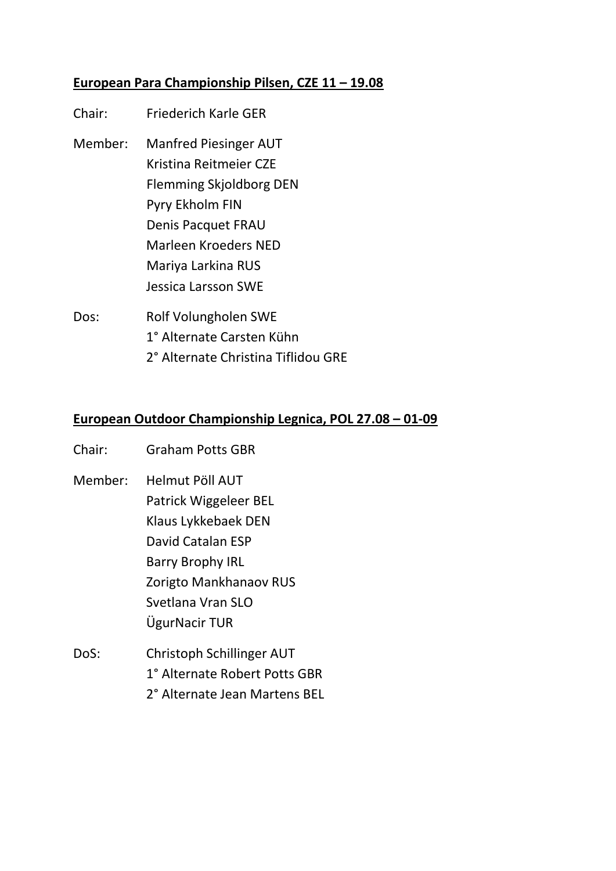# **European Para Championship Pilsen, CZE 11 – 19.08**

- Chair: Friederich Karle GER Member: Manfred Piesinger AUT Kristina Reitmeier CZE Flemming Skjoldborg DEN Pyry Ekholm FIN Denis Pacquet FRAU Marleen Kroeders NED Mariya Larkina RUS Jessica Larsson SWE Dos: Rolf Volungholen SWE
- 1° Alternate Carsten Kühn 2° Alternate Christina Tiflidou GRE

## **European Outdoor Championship Legnica, POL 27.08 – 01-09**

- Chair: Graham Potts GBR
- Member: Helmut Pöll AUT Patrick Wiggeleer BEL Klaus Lykkebaek DEN David Catalan ESP Barry Brophy IRL Zorigto Mankhanaov RUS Svetlana Vran SLO ÜgurNacir TUR
- DoS: Christoph Schillinger AUT 1° Alternate Robert Potts GBR 2° Alternate Jean Martens BEL